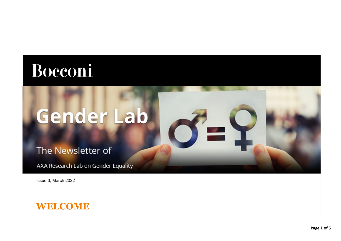## Bocconi

# Gender Lab

The Newsletter of

AXA Research Lab on Gender Equality

Issue 3, March 2022



×.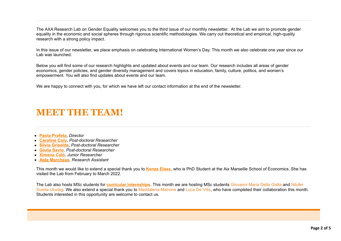The AXA Research Lab on Gender Equality welcomes you to the third issue of our monthly newsletter. At the Lab we aim to promote gender equality in the economic and social spheres through rigorous scientific methodologies. We carry out theoretical and empirical, high-quality research with a strong policy impact.

In this issue of our newsletter, we place emphasis on celebrating International Women's Day. This month we also celebrate one year since our Lab was launched.

Below you will find some of our research highlights and updated about events and our team. Our research includes all areas of gender economics, gender policies, and gender diversity management and covers topics in education, family, culture, politics, and women's empowerment. You will also find updates about events and our team.

We are happy to connect with you, for which we have left our contact information at the end of the newsletter.

### **MEET TEETEAM!**

- **[Paola Profeta](https://genderlab.unibocconi.eu/people/paola-profeta)**, *Director*
- **[Caroline Coly](https://genderlab.unibocconi.eu/people/caroline-coly)**, *Post-doctoral Researcher*
- **[Silvia Griselda](https://genderlab.unibocconi.eu/people/silvia-griselda)**, *Post-doctoral Researcher*
- **[Giulia Savio](https://genderlab.unibocconi.eu/people/giulia-savio)**, *Post-doctoral Researcher*
- **[Ximena Caló](https://genderlab.unibocconi.eu/people/ximena-calo)**, *Junior Researcher*
- **[Alda Marchese](https://genderlab.unibocconi.eu/people/alda-marchese)**, *Research Assistant*

This month we would like to extend a special thank you to **[Kenza Elass](https://genderlab.unibocconi.eu/people/visiting/kenza-elass)**, who is PhD Student at the Aix Marseille School of Economics. She has visited the Lab from February to March 2022.

The Lab also hosts MSc students for **[curricular internships](https://genderlab.unibocconi.eu/people/intern-and-students)**. This month we are hosting MSc students Giovanni Maria Della Gatta and Nilufer Sueda Uludag. We also extend a special thank you to Maddalena Matrone and Luca De Vitis, who have completed their collaboration this month. Students interested in this opportunity are welcome to contact us.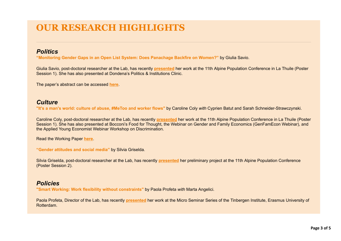## **OUR RESEARCH HIGHLIGHTS**

#### *Politics*

**"Monitoring Gender Gaps in an Open List System: Does Panachage Backfire on Women?"** by Giulia Savio.

Giulia Savio, post-doctoral researcher at the Lab, has recently **[presented](https://genderlab.unibocconi.eu/news-and-participations)** her work at the 11th Alpine Population Conference in La Thuile (Poster Session 1). She has also presented at Dondena's Politics & Institutions Clinic.

The paper's abstract can be accessed **[here](https://genderlab.unibocconi.eu/research/politics)**.

#### *Culture*

**"It's a man's world: culture of abuse, #MeToo and worker flows"** by Caroline Coly *with* Cyprien Batut and Sarah Schneider-Strawczynski.

Caroline Coly, post-doctoral researcher at the Lab, has recently **[presented](https://genderlab.unibocconi.eu/news-and-participations)** her work at the 11th Alpine Population Conference in La Thuile (Poster Session 1). She has also presented at Bocconi's Food for Thought, the Webinar on Gender and Family Economics (GenFamEcon Webinar), and the Applied Young Economist Webinar Workshop on Discrimination.

Read the Working Paper **[here](https://www.dondena.unibocconi.eu/wps/wcm/connect/50fed6ed-818d-4786-8225-338ec14ac928/WP149.pdf?MOD=AJPERES&CVID=nOp0.D2)**.

**"Gender attitudes and social media"** by Silvia Griselda.

Silvia Griselda, post-doctoral researcher at the Lab, has recently **[presented](https://genderlab.unibocconi.eu/news-and-participations)** her preliminary project at the 11th Alpine Population Conference (Poster Session 2).

#### *Policies*

**"Smart Working: Work flexibility without constraints"** by Paola Profeta *with* Marta Angelici.

Paola Profeta, Director of the Lab, has recently **[presented](https://eur03.safelinks.protection.outlook.com/?url=https%3A%2F%2Fwww.tinbergen.nl%2Fevent%2F2022%2F03%2F25%2F11584%2Ftitle-to-be-announced&data=04%7C01%7Cximena.calo%40unibocconi.it%7Cee9760f8df7d408d455608da131ec04a%7C6bf3b57a9fb447c29ada51156518f52f%7C1%7C0%7C637843320051026279%7CUnknown%7CTWFpbGZsb3d8eyJWIjoiMC4wLjAwMDAiLCJQIjoiV2luMzIiLCJBTiI6Ik1haWwiLCJXVCI6Mn0%3D%7C3000&sdata=6K%2BFWjySzx7bI13VK8m%2BYFl%2Fxl4lSnsGiAESffJwfSM%3D&reserved=0)** her work at the Micro Seminar Series of the Tinbergen Institute, Erasmus University of Rotterdam.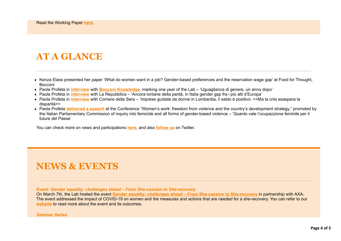## **AT A GLANCE**

- Kenza Elass presented her paper 'What do women want in a job? Gender-based preferences and the reservation wage gap' at Food for Thought, Bocconi
- Paola Profeta in **[interview](https://genderlab.unibocconi.eu/articles-interviews)** with **[Bocconi Knowledge](https://www.knowledge.unibocconi.it/notizia.php?idArt=23996)**, marking one year of the Lab 'Uguaglianza di genere, un anno dopo'
- Paola Profeta in **[interview](https://genderlab.unibocconi.eu/articles-interviews)** with La Repubblica 'Ancora lontane della parità, in Italia gender gap fra i più alti d'Europa'
- Paola Profeta in **[interview](https://genderlab.unibocconi.eu/articles-interviews)** with Corriere della Sera 'Imprese guidate da donne in Lombardia, il saldo è positivo: <<Ma la crisi esaspera la disparità>>
- Paola Profeta **[delivered a speech](https://genderlab.unibocconi.eu/news-and-participations)** at the Conference "Women's work: freedom from violence and the country's development strategy," promoted by the Italian Parliamentary Commission of inquiry into femicide and all forms of gender-based violence – 'Quanto vale l'ocupazzione feminile per il future del Paese'

You can check more on news and participations **[here](https://genderlab.unibocconi.eu/news-and-participations)**, and also **[follow us](https://eur03.safelinks.protection.outlook.com/?url=https%3A%2F%2Ftwitter.com%2FAxaGenderLab&data=04%7C01%7Cximena.calo%40unibocconi.it%7Cee9760f8df7d408d455608da131ec04a%7C6bf3b57a9fb447c29ada51156518f52f%7C1%7C0%7C637843320051026279%7CUnknown%7CTWFpbGZsb3d8eyJWIjoiMC4wLjAwMDAiLCJQIjoiV2luMzIiLCJBTiI6Ik1haWwiLCJXVCI6Mn0%3D%7C3000&sdata=qXznRgEDmYRCq%2FIZkdFXOUq%2BvUQXj7YfRmiSHv6SCQQ%3D&reserved=0)** on Twitter.

## **NEWS & EVENTS**

*Event: Gender equality: challenges ahead – From She-cession to She-recovery*

On March 7th, the Lab hosted the event **[Gender equality: challenges ahead – From She-cession to She-recovery](https://www.unibocconi.it/wps/wcm/connect/ev/Eventi/Eventi+Bocconi/AXA+RESEARCH+LAB+ON+GENDER+EQUALITY)** in partnership with AXA. The event addressed the impact of COVID-19 on women and the measures and actions that are needed for a she-recovery. You can refer to our **[website](https://www.unibocconi.it/wps/wcm/connect/ev/Eventi/Eventi+Bocconi/AXA+RESEARCH+LAB+ON+GENDER+EQUALITY)** to read more about the event and its outcomes.

#### *Seminar Series*